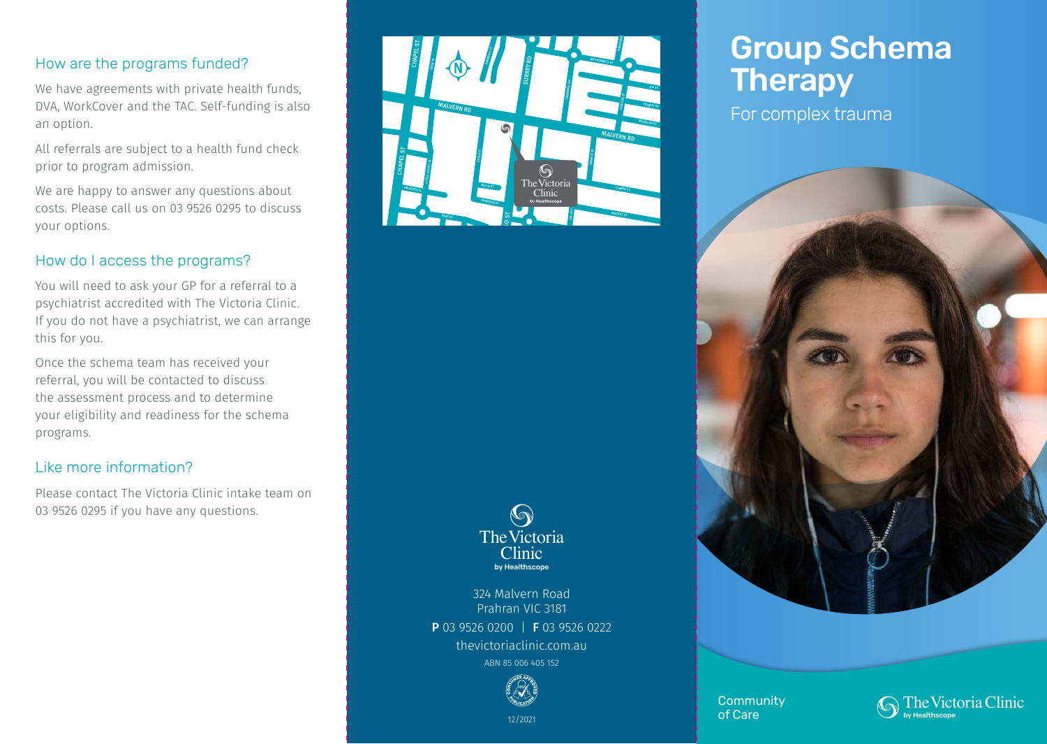## How are the programs funded?

We have agreements with private health funds, DVA, WorkCover and the TAC. Self-funding is also an option.

All referrals are subject to a health fund check prior to program admission.

We are happy to answer any questions about costs. Please call us on 03 9526 0295 to discuss your options.

## How do I access the programs?

You will need to ask your GP for a referral to a psychiatrist accredited with The Victoria Clinic. If you do not have a psychiatrist, we can arrange this for you.

Once the schema team has received your referral, you will be contacted to discuss the assessment process and to determine your eligibility and readiness for the schema programs.

## Like more information?

Please contact The Victoria Clinic intake team on 03 9526 0295 if you have any questions.



## $\bigcirc$ **The Victoria Clinic** by Healthscope

324 Malvern Road Prahran VIC 3181 P 03 9526 0200 | F 03 9526 0222 thevictoriaclinic.com.au ABN 85 006 405 152



# Group Schema **Therapy**

For complex trauma



**Community** of Care